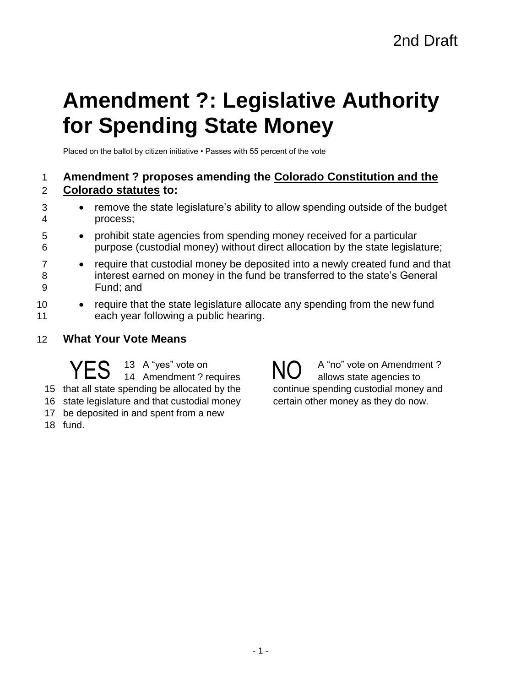# **Amendment ?: Legislative Authority for Spending State Money**

Placed on the ballot by citizen initiative • Passes with 55 percent of the vote

## 1 **Amendment ? proposes amending the Colorado Constitution and the**  2 **Colorado statutes to:**

- 3 remove the state legislature's ability to allow spending outside of the budget 4 process;
- 5 prohibit state agencies from spending money received for a particular 6 purpose (custodial money) without direct allocation by the state legislature;
- 7 require that custodial money be deposited into a newly created fund and that 8 interest earned on money in the fund be transferred to the state's General 9 Fund; and
- 10 require that the state legislature allocate any spending from the new fund 11 each year following a public hearing.
- 12 **What Your Vote Means**

 A "yes" vote on YES 13 A "yes" vote on NO that all state spending be allocated by the state legislature and that custodial money

- 17 be deposited in and spent from a new
- 18 fund.

A "no" vote on Amendment ? allows state agencies to continue spending custodial money and certain other money as they do now.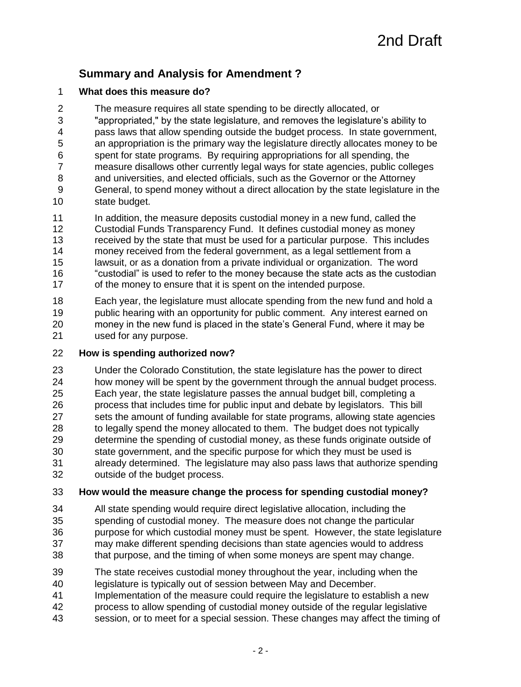# **Summary and Analysis for Amendment ?**

#### **What does this measure do?**

The measure requires all state spending to be directly allocated, or

 "appropriated," by the state legislature, and removes the legislature's ability to pass laws that allow spending outside the budget process. In state government, an appropriation is the primary way the legislature directly allocates money to be spent for state programs. By requiring appropriations for all spending, the

- measure disallows other currently legal ways for state agencies, public colleges
- and universities, and elected officials, such as the Governor or the Attorney General, to spend money without a direct allocation by the state legislature in the state budget.
- In addition, the measure deposits custodial money in a new fund, called the Custodial Funds Transparency Fund. It defines custodial money as money
- received by the state that must be used for a particular purpose. This includes
- money received from the federal government, as a legal settlement from a
- lawsuit, or as a donation from a private individual or organization. The word "custodial" is used to refer to the money because the state acts as the custodian 17 of the money to ensure that it is spent on the intended purpose.

 Each year, the legislature must allocate spending from the new fund and hold a public hearing with an opportunity for public comment. Any interest earned on money in the new fund is placed in the state's General Fund, where it may be used for any purpose.

#### **How is spending authorized now?**

Under the Colorado Constitution, the state legislature has the power to direct

 how money will be spent by the government through the annual budget process. Each year, the state legislature passes the annual budget bill, completing a process that includes time for public input and debate by legislators. This bill sets the amount of funding available for state programs, allowing state agencies

to legally spend the money allocated to them. The budget does not typically

 determine the spending of custodial money, as these funds originate outside of state government, and the specific purpose for which they must be used is already determined. The legislature may also pass laws that authorize spending outside of the budget process.

## **How would the measure change the process for spending custodial money?**

- All state spending would require direct legislative allocation, including the spending of custodial money. The measure does not change the particular purpose for which custodial money must be spent. However, the state legislature may make different spending decisions than state agencies would to address
- that purpose, and the timing of when some moneys are spent may change.
- The state receives custodial money throughout the year, including when the
- legislature is typically out of session between May and December.
- Implementation of the measure could require the legislature to establish a new
- process to allow spending of custodial money outside of the regular legislative
- session, or to meet for a special session. These changes may affect the timing of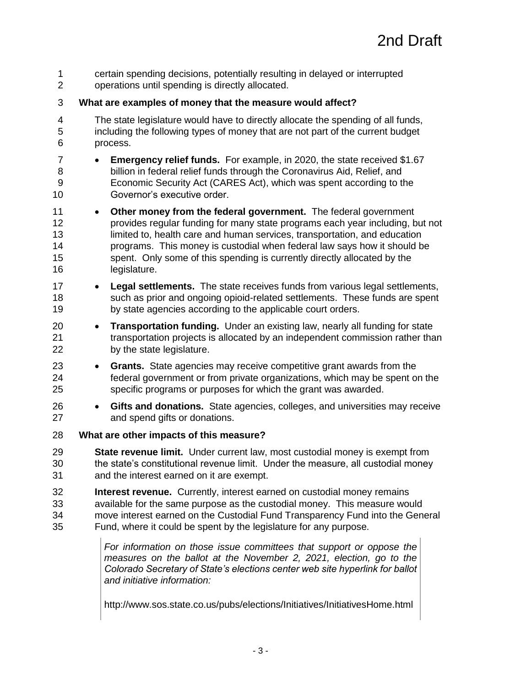certain spending decisions, potentially resulting in delayed or interrupted operations until spending is directly allocated. **What are examples of money that the measure would affect?** The state legislature would have to directly allocate the spending of all funds, including the following types of money that are not part of the current budget process. **Emergency relief funds.** For example, in 2020, the state received \$1.67 billion in federal relief funds through the Coronavirus Aid, Relief, and Economic Security Act (CARES Act), which was spent according to the Governor's executive order. **Other money from the federal government.** The federal government provides regular funding for many state programs each year including, but not 13 limited to, health care and human services, transportation, and education programs. This money is custodial when federal law says how it should be spent. Only some of this spending is currently directly allocated by the legislature. **Legal settlements.** The state receives funds from various legal settlements, such as prior and ongoing opioid-related settlements. These funds are spent by state agencies according to the applicable court orders. **Transportation funding.** Under an existing law, nearly all funding for state transportation projects is allocated by an independent commission rather than by the state legislature. **Grants.** State agencies may receive competitive grant awards from the federal government or from private organizations, which may be spent on the specific programs or purposes for which the grant was awarded. **Gifts and donations.** State agencies, colleges, and universities may receive and spend gifts or donations. **What are other impacts of this measure? State revenue limit.** Under current law, most custodial money is exempt from the state's constitutional revenue limit. Under the measure, all custodial money and the interest earned on it are exempt. **Interest revenue.** Currently, interest earned on custodial money remains available for the same purpose as the custodial money. This measure would move interest earned on the Custodial Fund Transparency Fund into the General Fund, where it could be spent by the legislature for any purpose. *For information on those issue committees that support or oppose the measures on the ballot at the November 2, 2021, election, go to the Colorado Secretary of State's elections center web site hyperlink for ballot and initiative information:*

http://www.sos.state.co.us/pubs/elections/Initiatives/InitiativesHome.html